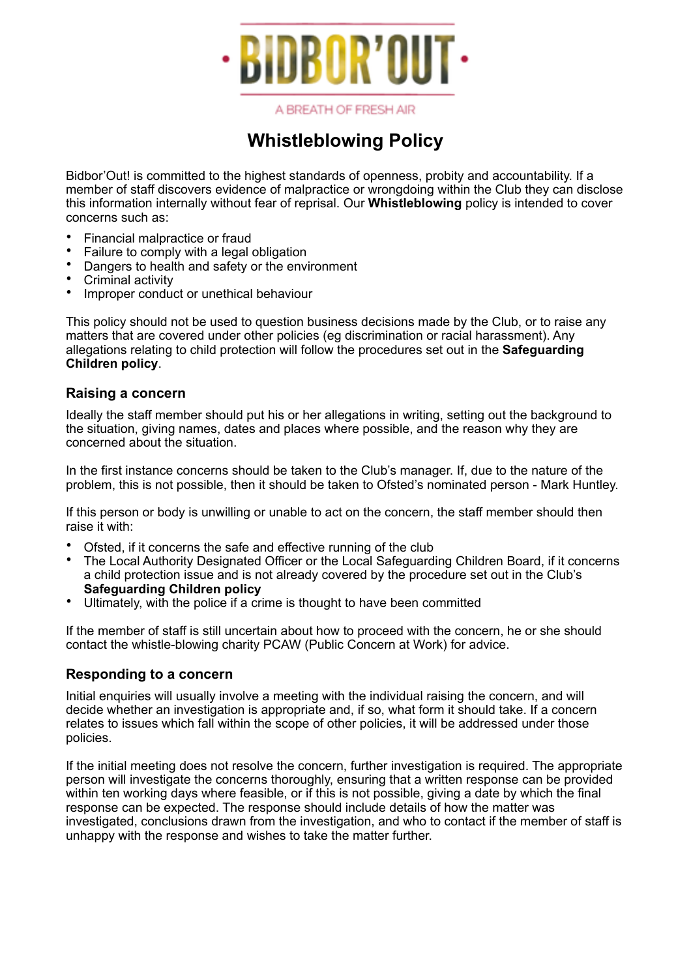

A BREATH OF FRESH AIR

# **Whistleblowing Policy**

Bidbor'Out! is committed to the highest standards of openness, probity and accountability. If a member of staff discovers evidence of malpractice or wrongdoing within the Club they can disclose this information internally without fear of reprisal. Our **Whistleblowing** policy is intended to cover concerns such as:

- Financial malpractice or fraud
- Failure to comply with a legal obligation
- Dangers to health and safety or the environment
- Criminal activity
- Improper conduct or unethical behaviour

This policy should not be used to question business decisions made by the Club, or to raise any matters that are covered under other policies (eg discrimination or racial harassment). Any allegations relating to child protection will follow the procedures set out in the **Safeguarding Children policy**.

### **Raising a concern**

Ideally the staff member should put his or her allegations in writing, setting out the background to the situation, giving names, dates and places where possible, and the reason why they are concerned about the situation.

In the first instance concerns should be taken to the Club's manager. If, due to the nature of the problem, this is not possible, then it should be taken to Ofsted's nominated person - Mark Huntley.

If this person or body is unwilling or unable to act on the concern, the staff member should then raise it with:

- Ofsted, if it concerns the safe and effective running of the club
- The Local Authority Designated Officer or the Local Safeguarding Children Board, if it concerns a child protection issue and is not already covered by the procedure set out in the Club's **Safeguarding Children policy**
- Ultimately, with the police if a crime is thought to have been committed

If the member of staff is still uncertain about how to proceed with the concern, he or she should contact the whistle-blowing charity PCAW (Public Concern at Work) for advice.

### **Responding to a concern**

Initial enquiries will usually involve a meeting with the individual raising the concern, and will decide whether an investigation is appropriate and, if so, what form it should take. If a concern relates to issues which fall within the scope of other policies, it will be addressed under those policies.

If the initial meeting does not resolve the concern, further investigation is required. The appropriate person will investigate the concerns thoroughly, ensuring that a written response can be provided within ten working days where feasible, or if this is not possible, giving a date by which the final response can be expected. The response should include details of how the matter was investigated, conclusions drawn from the investigation, and who to contact if the member of staff is unhappy with the response and wishes to take the matter further.